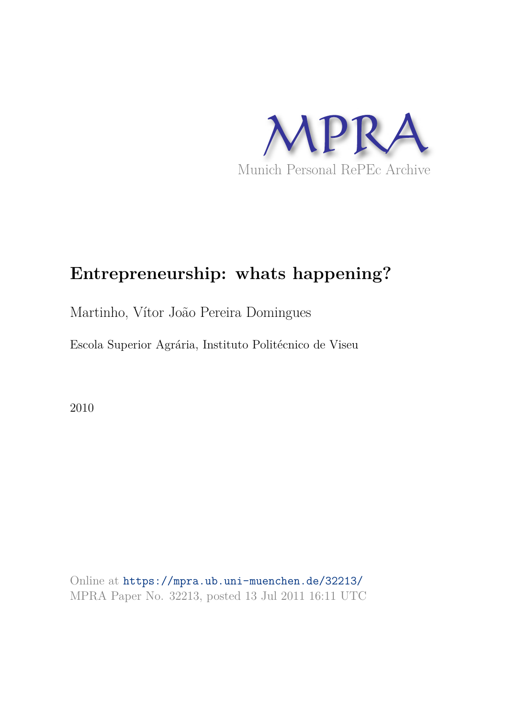

# **Entrepreneurship: whats happening?**

# Martinho, Vítor João Pereira Domingues

Escola Superior Agrária, Instituto Politécnico de Viseu

2010

Online at https://mpra.ub.uni-muenchen.de/32213/ MPRA Paper No. 32213, posted 13 Jul 2011 16:11 UTC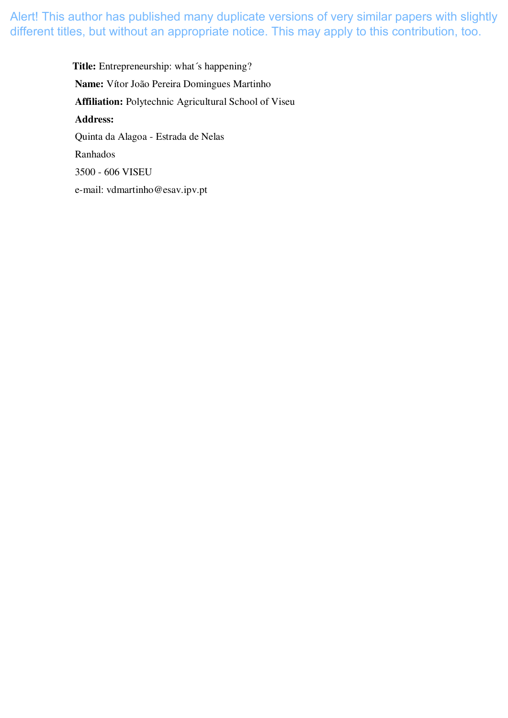> **Title:** Entrepreneurship: what´s happening? **Name:** Vítor João Pereira Domingues Martinho **Affiliation:** Polytechnic Agricultural School of Viseu **Address:** Quinta da Alagoa - Estrada de Nelas Ranhados 3500 - 606 VISEU e-mail: vdmartinho@esav.ipv.pt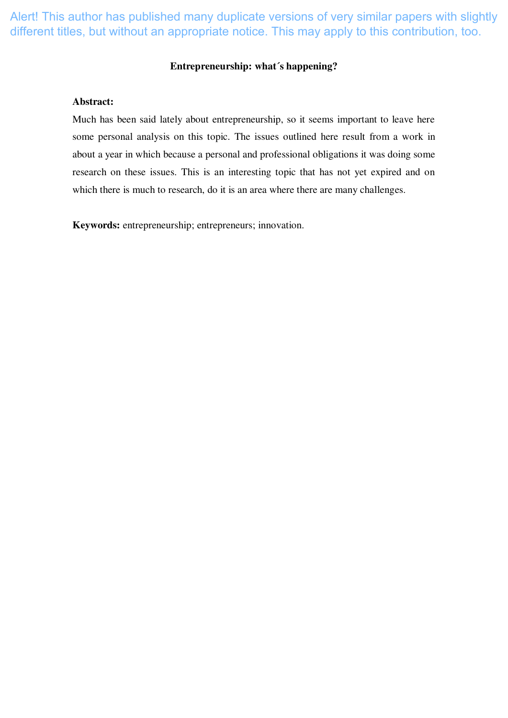## **Entrepreneurship: what´s happening?**

#### **Abstract:**

Much has been said lately about entrepreneurship, so it seems important to leave here some personal analysis on this topic. The issues outlined here result from a work in about a year in which because a personal and professional obligations it was doing some research on these issues. This is an interesting topic that has not yet expired and on which there is much to research, do it is an area where there are many challenges.

**Keywords:** entrepreneurship; entrepreneurs; innovation.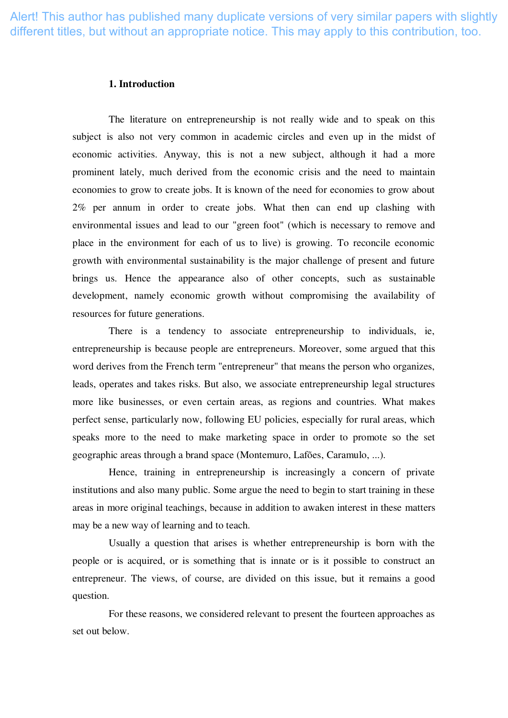### **1. Introduction**

The literature on entrepreneurship is not really wide and to speak on this subject is also not very common in academic circles and even up in the midst of economic activities. Anyway, this is not a new subject, although it had a more prominent lately, much derived from the economic crisis and the need to maintain economies to grow to create jobs. It is known of the need for economies to grow about 2% per annum in order to create jobs. What then can end up clashing with environmental issues and lead to our "green foot" (which is necessary to remove and place in the environment for each of us to live) is growing. To reconcile economic growth with environmental sustainability is the major challenge of present and future brings us. Hence the appearance also of other concepts, such as sustainable development, namely economic growth without compromising the availability of resources for future generations.

There is a tendency to associate entrepreneurship to individuals, ie, entrepreneurship is because people are entrepreneurs. Moreover, some argued that this word derives from the French term "entrepreneur" that means the person who organizes, leads, operates and takes risks. But also, we associate entrepreneurship legal structures more like businesses, or even certain areas, as regions and countries. What makes perfect sense, particularly now, following EU policies, especially for rural areas, which speaks more to the need to make marketing space in order to promote so the set geographic areas through a brand space (Montemuro, Lafões, Caramulo, ...).

Hence, training in entrepreneurship is increasingly a concern of private institutions and also many public. Some argue the need to begin to start training in these areas in more original teachings, because in addition to awaken interest in these matters may be a new way of learning and to teach.

Usually a question that arises is whether entrepreneurship is born with the people or is acquired, or is something that is innate or is it possible to construct an entrepreneur. The views, of course, are divided on this issue, but it remains a good question.

For these reasons, we considered relevant to present the fourteen approaches as set out below.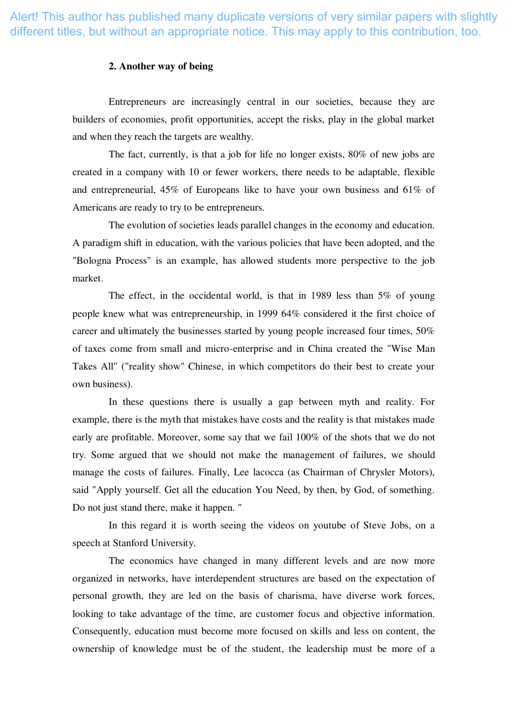## **2. Another way of being**

Entrepreneurs are increasingly central in our societies, because they are builders of economies, profit opportunities, accept the risks, play in the global market and when they reach the targets are wealthy.

The fact, currently, is that a job for life no longer exists, 80% of new jobs are created in a company with 10 or fewer workers, there needs to be adaptable, flexible and entrepreneurial, 45% of Europeans like to have your own business and 61% of Americans are ready to try to be entrepreneurs.

The evolution of societies leads parallel changes in the economy and education. A paradigm shift in education, with the various policies that have been adopted, and the "Bologna Process" is an example, has allowed students more perspective to the job market.

The effect, in the occidental world, is that in 1989 less than 5% of young people knew what was entrepreneurship, in 1999 64% considered it the first choice of career and ultimately the businesses started by young people increased four times, 50% of taxes come from small and micro-enterprise and in China created the "Wise Man Takes All" ("reality show" Chinese, in which competitors do their best to create your own business).

In these questions there is usually a gap between myth and reality. For example, there is the myth that mistakes have costs and the reality is that mistakes made early are profitable. Moreover, some say that we fail 100% of the shots that we do not try. Some argued that we should not make the management of failures, we should manage the costs of failures. Finally, Lee lacocca (as Chairman of Chrysler Motors), said "Apply yourself. Get all the education You Need, by then, by God, of something. Do not just stand there, make it happen. "

In this regard it is worth seeing the videos on youtube of Steve Jobs, on a speech at Stanford University.

The economics have changed in many different levels and are now more organized in networks, have interdependent structures are based on the expectation of personal growth, they are led on the basis of charisma, have diverse work forces, looking to take advantage of the time, are customer focus and objective information. Consequently, education must become more focused on skills and less on content, the ownership of knowledge must be of the student, the leadership must be more of a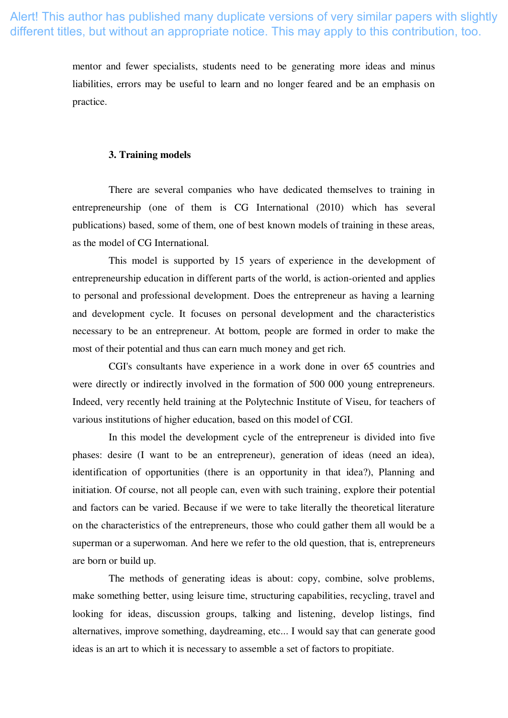mentor and fewer specialists, students need to be generating more ideas and minus liabilities, errors may be useful to learn and no longer feared and be an emphasis on practice.

## **3. Training models**

There are several companies who have dedicated themselves to training in entrepreneurship (one of them is CG International (2010) which has several publications) based, some of them, one of best known models of training in these areas, as the model of CG International.

This model is supported by 15 years of experience in the development of entrepreneurship education in different parts of the world, is action-oriented and applies to personal and professional development. Does the entrepreneur as having a learning and development cycle. It focuses on personal development and the characteristics necessary to be an entrepreneur. At bottom, people are formed in order to make the most of their potential and thus can earn much money and get rich.

CGI's consultants have experience in a work done in over 65 countries and were directly or indirectly involved in the formation of 500 000 young entrepreneurs. Indeed, very recently held training at the Polytechnic Institute of Viseu, for teachers of various institutions of higher education, based on this model of CGI.

In this model the development cycle of the entrepreneur is divided into five phases: desire (I want to be an entrepreneur), generation of ideas (need an idea), identification of opportunities (there is an opportunity in that idea?), Planning and initiation. Of course, not all people can, even with such training, explore their potential and factors can be varied. Because if we were to take literally the theoretical literature on the characteristics of the entrepreneurs, those who could gather them all would be a superman or a superwoman. And here we refer to the old question, that is, entrepreneurs are born or build up.

The methods of generating ideas is about: copy, combine, solve problems, make something better, using leisure time, structuring capabilities, recycling, travel and looking for ideas, discussion groups, talking and listening, develop listings, find alternatives, improve something, daydreaming, etc... I would say that can generate good ideas is an art to which it is necessary to assemble a set of factors to propitiate.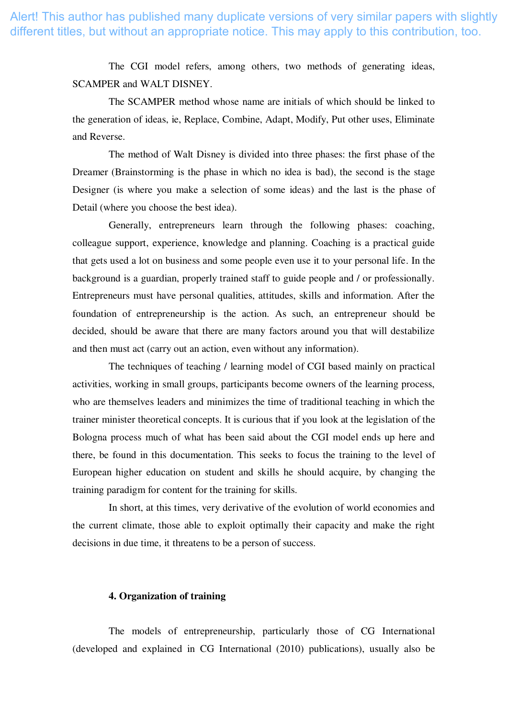> The CGI model refers, among others, two methods of generating ideas, SCAMPER and WALT DISNEY.

> The SCAMPER method whose name are initials of which should be linked to the generation of ideas, ie, Replace, Combine, Adapt, Modify, Put other uses, Eliminate and Reverse.

> The method of Walt Disney is divided into three phases: the first phase of the Dreamer (Brainstorming is the phase in which no idea is bad), the second is the stage Designer (is where you make a selection of some ideas) and the last is the phase of Detail (where you choose the best idea).

> Generally, entrepreneurs learn through the following phases: coaching, colleague support, experience, knowledge and planning. Coaching is a practical guide that gets used a lot on business and some people even use it to your personal life. In the background is a guardian, properly trained staff to guide people and / or professionally. Entrepreneurs must have personal qualities, attitudes, skills and information. After the foundation of entrepreneurship is the action. As such, an entrepreneur should be decided, should be aware that there are many factors around you that will destabilize and then must act (carry out an action, even without any information).

> The techniques of teaching / learning model of CGI based mainly on practical activities, working in small groups, participants become owners of the learning process, who are themselves leaders and minimizes the time of traditional teaching in which the trainer minister theoretical concepts. It is curious that if you look at the legislation of the Bologna process much of what has been said about the CGI model ends up here and there, be found in this documentation. This seeks to focus the training to the level of European higher education on student and skills he should acquire, by changing the training paradigm for content for the training for skills.

> In short, at this times, very derivative of the evolution of world economies and the current climate, those able to exploit optimally their capacity and make the right decisions in due time, it threatens to be a person of success.

## **4. Organization of training**

The models of entrepreneurship, particularly those of CG International (developed and explained in CG International (2010) publications), usually also be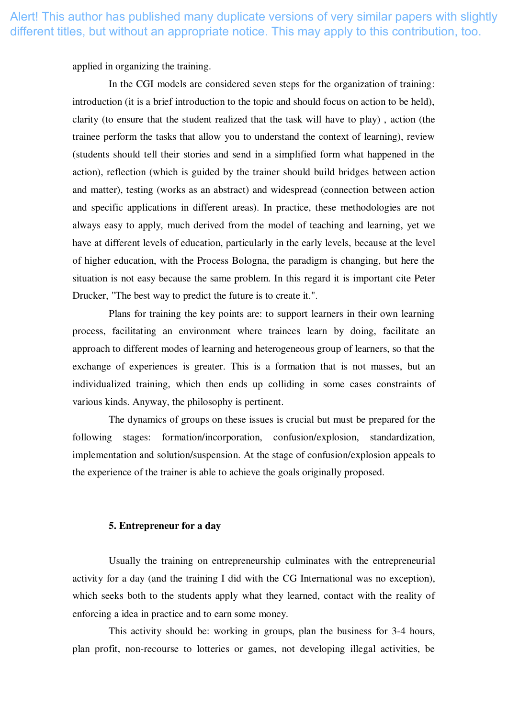applied in organizing the training.

In the CGI models are considered seven steps for the organization of training: introduction (it is a brief introduction to the topic and should focus on action to be held), clarity (to ensure that the student realized that the task will have to play) , action (the trainee perform the tasks that allow you to understand the context of learning), review (students should tell their stories and send in a simplified form what happened in the action), reflection (which is guided by the trainer should build bridges between action and matter), testing (works as an abstract) and widespread (connection between action and specific applications in different areas). In practice, these methodologies are not always easy to apply, much derived from the model of teaching and learning, yet we have at different levels of education, particularly in the early levels, because at the level of higher education, with the Process Bologna, the paradigm is changing, but here the situation is not easy because the same problem. In this regard it is important cite Peter Drucker, "The best way to predict the future is to create it.".

Plans for training the key points are: to support learners in their own learning process, facilitating an environment where trainees learn by doing, facilitate an approach to different modes of learning and heterogeneous group of learners, so that the exchange of experiences is greater. This is a formation that is not masses, but an individualized training, which then ends up colliding in some cases constraints of various kinds. Anyway, the philosophy is pertinent.

The dynamics of groups on these issues is crucial but must be prepared for the following stages: formation/incorporation, confusion/explosion, standardization, implementation and solution/suspension. At the stage of confusion/explosion appeals to the experience of the trainer is able to achieve the goals originally proposed.

#### **5. Entrepreneur for a day**

Usually the training on entrepreneurship culminates with the entrepreneurial activity for a day (and the training I did with the CG International was no exception), which seeks both to the students apply what they learned, contact with the reality of enforcing a idea in practice and to earn some money.

This activity should be: working in groups, plan the business for 3-4 hours, plan profit, non-recourse to lotteries or games, not developing illegal activities, be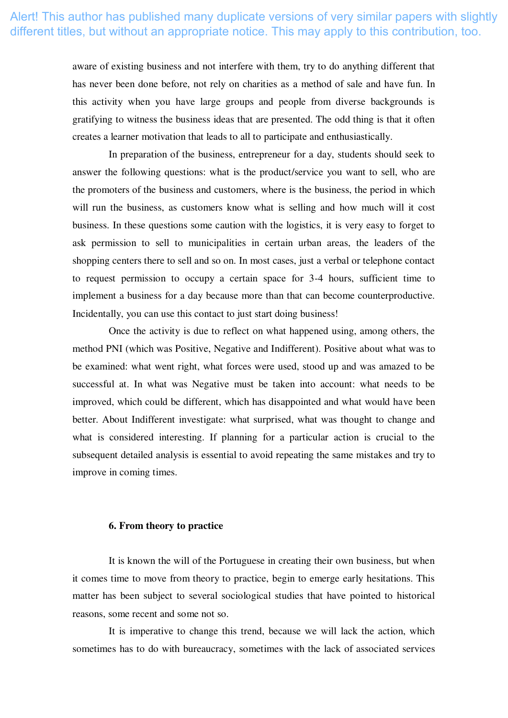aware of existing business and not interfere with them, try to do anything different that has never been done before, not rely on charities as a method of sale and have fun. In this activity when you have large groups and people from diverse backgrounds is gratifying to witness the business ideas that are presented. The odd thing is that it often creates a learner motivation that leads to all to participate and enthusiastically.

In preparation of the business, entrepreneur for a day, students should seek to answer the following questions: what is the product/service you want to sell, who are the promoters of the business and customers, where is the business, the period in which will run the business, as customers know what is selling and how much will it cost business. In these questions some caution with the logistics, it is very easy to forget to ask permission to sell to municipalities in certain urban areas, the leaders of the shopping centers there to sell and so on. In most cases, just a verbal or telephone contact to request permission to occupy a certain space for 3-4 hours, sufficient time to implement a business for a day because more than that can become counterproductive. Incidentally, you can use this contact to just start doing business!

Once the activity is due to reflect on what happened using, among others, the method PNI (which was Positive, Negative and Indifferent). Positive about what was to be examined: what went right, what forces were used, stood up and was amazed to be successful at. In what was Negative must be taken into account: what needs to be improved, which could be different, which has disappointed and what would have been better. About Indifferent investigate: what surprised, what was thought to change and what is considered interesting. If planning for a particular action is crucial to the subsequent detailed analysis is essential to avoid repeating the same mistakes and try to improve in coming times.

## **6. From theory to practice**

It is known the will of the Portuguese in creating their own business, but when it comes time to move from theory to practice, begin to emerge early hesitations. This matter has been subject to several sociological studies that have pointed to historical reasons, some recent and some not so.

It is imperative to change this trend, because we will lack the action, which sometimes has to do with bureaucracy, sometimes with the lack of associated services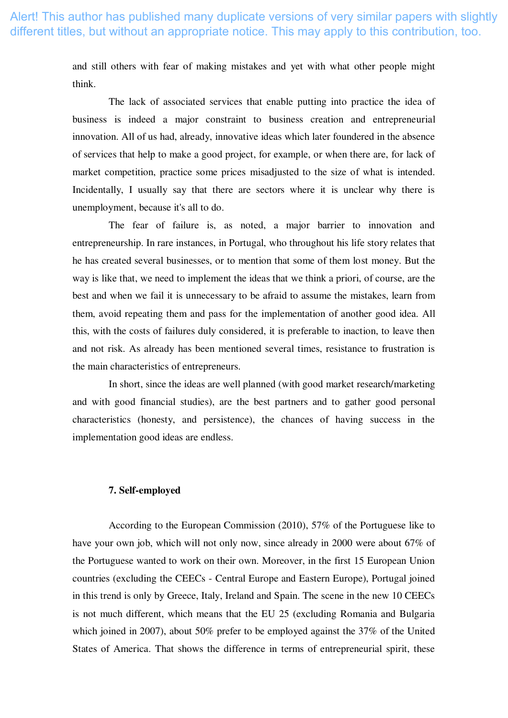and still others with fear of making mistakes and yet with what other people might think.

The lack of associated services that enable putting into practice the idea of business is indeed a major constraint to business creation and entrepreneurial innovation. All of us had, already, innovative ideas which later foundered in the absence of services that help to make a good project, for example, or when there are, for lack of market competition, practice some prices misadjusted to the size of what is intended. Incidentally, I usually say that there are sectors where it is unclear why there is unemployment, because it's all to do.

The fear of failure is, as noted, a major barrier to innovation and entrepreneurship. In rare instances, in Portugal, who throughout his life story relates that he has created several businesses, or to mention that some of them lost money. But the way is like that, we need to implement the ideas that we think a priori, of course, are the best and when we fail it is unnecessary to be afraid to assume the mistakes, learn from them, avoid repeating them and pass for the implementation of another good idea. All this, with the costs of failures duly considered, it is preferable to inaction, to leave then and not risk. As already has been mentioned several times, resistance to frustration is the main characteristics of entrepreneurs.

In short, since the ideas are well planned (with good market research/marketing and with good financial studies), are the best partners and to gather good personal characteristics (honesty, and persistence), the chances of having success in the implementation good ideas are endless.

## **7. Self-employed**

According to the European Commission (2010), 57% of the Portuguese like to have your own job, which will not only now, since already in 2000 were about 67% of the Portuguese wanted to work on their own. Moreover, in the first 15 European Union countries (excluding the CEECs - Central Europe and Eastern Europe), Portugal joined in this trend is only by Greece, Italy, Ireland and Spain. The scene in the new 10 CEECs is not much different, which means that the EU 25 (excluding Romania and Bulgaria which joined in 2007), about 50% prefer to be employed against the 37% of the United States of America. That shows the difference in terms of entrepreneurial spirit, these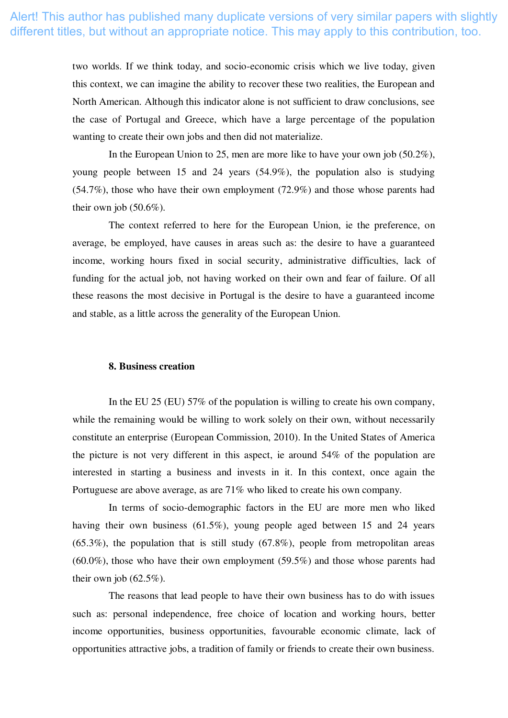two worlds. If we think today, and socio-economic crisis which we live today, given this context, we can imagine the ability to recover these two realities, the European and North American. Although this indicator alone is not sufficient to draw conclusions, see the case of Portugal and Greece, which have a large percentage of the population wanting to create their own jobs and then did not materialize.

In the European Union to 25, men are more like to have your own job (50.2%), young people between 15 and 24 years (54.9%), the population also is studying (54.7%), those who have their own employment (72.9%) and those whose parents had their own job  $(50.6\%)$ .

The context referred to here for the European Union, ie the preference, on average, be employed, have causes in areas such as: the desire to have a guaranteed income, working hours fixed in social security, administrative difficulties, lack of funding for the actual job, not having worked on their own and fear of failure. Of all these reasons the most decisive in Portugal is the desire to have a guaranteed income and stable, as a little across the generality of the European Union.

#### **8. Business creation**

In the EU 25 (EU) 57% of the population is willing to create his own company, while the remaining would be willing to work solely on their own, without necessarily constitute an enterprise (European Commission, 2010). In the United States of America the picture is not very different in this aspect, ie around 54% of the population are interested in starting a business and invests in it. In this context, once again the Portuguese are above average, as are 71% who liked to create his own company.

In terms of socio-demographic factors in the EU are more men who liked having their own business (61.5%), young people aged between 15 and 24 years  $(65.3\%)$ , the population that is still study  $(67.8\%)$ , people from metropolitan areas (60.0%), those who have their own employment (59.5%) and those whose parents had their own job  $(62.5\%)$ .

The reasons that lead people to have their own business has to do with issues such as: personal independence, free choice of location and working hours, better income opportunities, business opportunities, favourable economic climate, lack of opportunities attractive jobs, a tradition of family or friends to create their own business.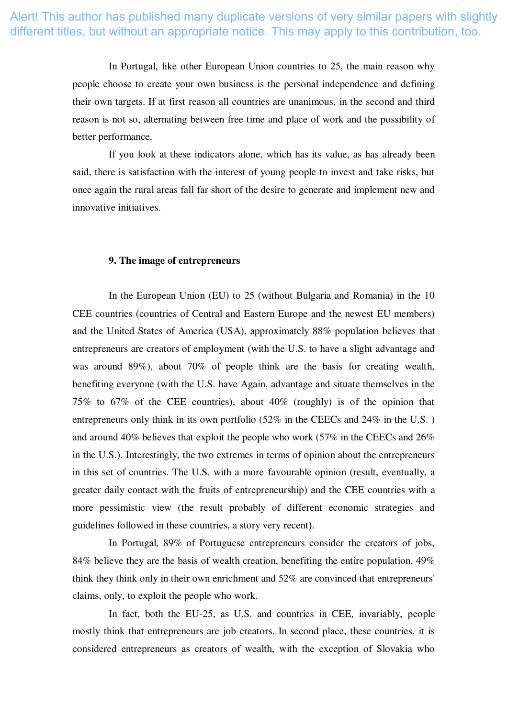In Portugal, like other European Union countries to 25, the main reason why people choose to create your own business is the personal independence and defining their own targets. If at first reason all countries are unanimous, in the second and third reason is not so, alternating between free time and place of work and the possibility of better performance.

If you look at these indicators alone, which has its value, as has already been said, there is satisfaction with the interest of young people to invest and take risks, but once again the rural areas fall far short of the desire to generate and implement new and innovative initiatives.

## **9. The image of entrepreneurs**

In the European Union (EU) to 25 (without Bulgaria and Romania) in the 10 CEE countries (countries of Central and Eastern Europe and the newest EU members) and the United States of America (USA), approximately 88% population believes that entrepreneurs are creators of employment (with the U.S. to have a slight advantage and was around 89%), about 70% of people think are the basis for creating wealth, benefiting everyone (with the U.S. have Again, advantage and situate themselves in the 75% to 67% of the CEE countries), about 40% (roughly) is of the opinion that entrepreneurs only think in its own portfolio (52% in the CEECs and 24% in the U.S. ) and around 40% believes that exploit the people who work (57% in the CEECs and 26% in the U.S.). Interestingly, the two extremes in terms of opinion about the entrepreneurs in this set of countries. The U.S. with a more favourable opinion (result, eventually, a greater daily contact with the fruits of entrepreneurship) and the CEE countries with a more pessimistic view (the result probably of different economic strategies and guidelines followed in these countries, a story very recent).

In Portugal, 89% of Portuguese entrepreneurs consider the creators of jobs, 84% believe they are the basis of wealth creation, benefiting the entire population, 49% think they think only in their own enrichment and 52% are convinced that entrepreneurs' claims, only, to exploit the people who work.

In fact, both the EU-25, as U.S. and countries in CEE, invariably, people mostly think that entrepreneurs are job creators. In second place, these countries, it is considered entrepreneurs as creators of wealth, with the exception of Slovakia who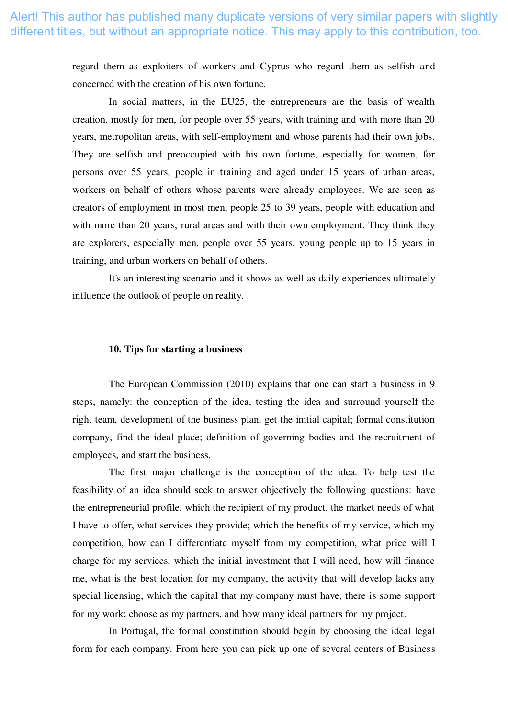regard them as exploiters of workers and Cyprus who regard them as selfish and concerned with the creation of his own fortune.

In social matters, in the EU25, the entrepreneurs are the basis of wealth creation, mostly for men, for people over 55 years, with training and with more than 20 years, metropolitan areas, with self-employment and whose parents had their own jobs. They are selfish and preoccupied with his own fortune, especially for women, for persons over 55 years, people in training and aged under 15 years of urban areas, workers on behalf of others whose parents were already employees. We are seen as creators of employment in most men, people 25 to 39 years, people with education and with more than 20 years, rural areas and with their own employment. They think they are explorers, especially men, people over 55 years, young people up to 15 years in training, and urban workers on behalf of others.

It's an interesting scenario and it shows as well as daily experiences ultimately influence the outlook of people on reality.

#### **10. Tips for starting a business**

The European Commission (2010) explains that one can start a business in 9 steps, namely: the conception of the idea, testing the idea and surround yourself the right team, development of the business plan, get the initial capital; formal constitution company, find the ideal place; definition of governing bodies and the recruitment of employees, and start the business.

The first major challenge is the conception of the idea. To help test the feasibility of an idea should seek to answer objectively the following questions: have the entrepreneurial profile, which the recipient of my product, the market needs of what I have to offer, what services they provide; which the benefits of my service, which my competition, how can I differentiate myself from my competition, what price will I charge for my services, which the initial investment that I will need, how will finance me, what is the best location for my company, the activity that will develop lacks any special licensing, which the capital that my company must have, there is some support for my work; choose as my partners, and how many ideal partners for my project.

In Portugal, the formal constitution should begin by choosing the ideal legal form for each company. From here you can pick up one of several centers of Business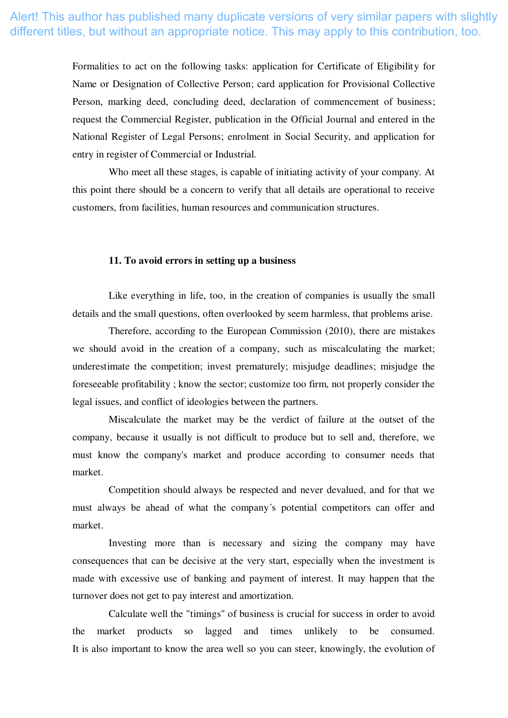Formalities to act on the following tasks: application for Certificate of Eligibility for Name or Designation of Collective Person; card application for Provisional Collective Person, marking deed, concluding deed, declaration of commencement of business; request the Commercial Register, publication in the Official Journal and entered in the National Register of Legal Persons; enrolment in Social Security, and application for entry in register of Commercial or Industrial.

Who meet all these stages, is capable of initiating activity of your company. At this point there should be a concern to verify that all details are operational to receive customers, from facilities, human resources and communication structures.

#### **11. To avoid errors in setting up a business**

Like everything in life, too, in the creation of companies is usually the small details and the small questions, often overlooked by seem harmless, that problems arise.

Therefore, according to the European Commission (2010), there are mistakes we should avoid in the creation of a company, such as miscalculating the market; underestimate the competition; invest prematurely; misjudge deadlines; misjudge the foreseeable profitability ; know the sector; customize too firm, not properly consider the legal issues, and conflict of ideologies between the partners.

Miscalculate the market may be the verdict of failure at the outset of the company, because it usually is not difficult to produce but to sell and, therefore, we must know the company's market and produce according to consumer needs that market.

Competition should always be respected and never devalued, and for that we must always be ahead of what the company´s potential competitors can offer and market.

Investing more than is necessary and sizing the company may have consequences that can be decisive at the very start, especially when the investment is made with excessive use of banking and payment of interest. It may happen that the turnover does not get to pay interest and amortization.

Calculate well the "timings" of business is crucial for success in order to avoid the market products so lagged and times unlikely to be consumed. It is also important to know the area well so you can steer, knowingly, the evolution of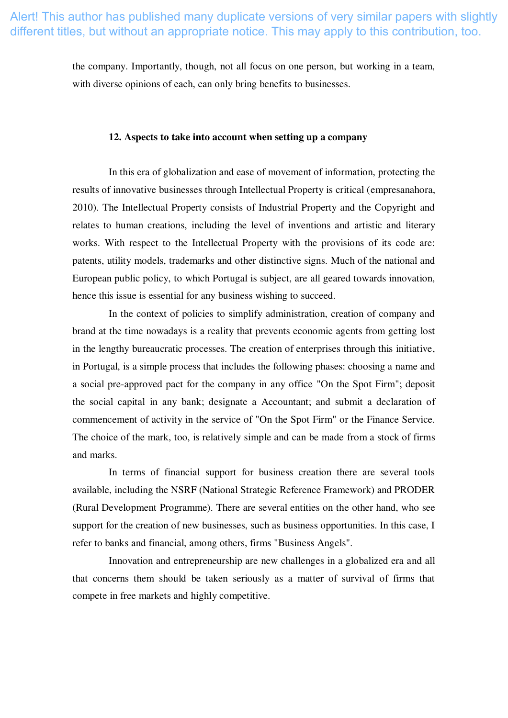the company. Importantly, though, not all focus on one person, but working in a team, with diverse opinions of each, can only bring benefits to businesses.

## **12. Aspects to take into account when setting up a company**

In this era of globalization and ease of movement of information, protecting the results of innovative businesses through Intellectual Property is critical (empresanahora, 2010). The Intellectual Property consists of Industrial Property and the Copyright and relates to human creations, including the level of inventions and artistic and literary works. With respect to the Intellectual Property with the provisions of its code are: patents, utility models, trademarks and other distinctive signs. Much of the national and European public policy, to which Portugal is subject, are all geared towards innovation, hence this issue is essential for any business wishing to succeed.

In the context of policies to simplify administration, creation of company and brand at the time nowadays is a reality that prevents economic agents from getting lost in the lengthy bureaucratic processes. The creation of enterprises through this initiative, in Portugal, is a simple process that includes the following phases: choosing a name and a social pre-approved pact for the company in any office "On the Spot Firm"; deposit the social capital in any bank; designate a Accountant; and submit a declaration of commencement of activity in the service of "On the Spot Firm" or the Finance Service. The choice of the mark, too, is relatively simple and can be made from a stock of firms and marks.

In terms of financial support for business creation there are several tools available, including the NSRF (National Strategic Reference Framework) and PRODER (Rural Development Programme). There are several entities on the other hand, who see support for the creation of new businesses, such as business opportunities. In this case, I refer to banks and financial, among others, firms "Business Angels".

Innovation and entrepreneurship are new challenges in a globalized era and all that concerns them should be taken seriously as a matter of survival of firms that compete in free markets and highly competitive.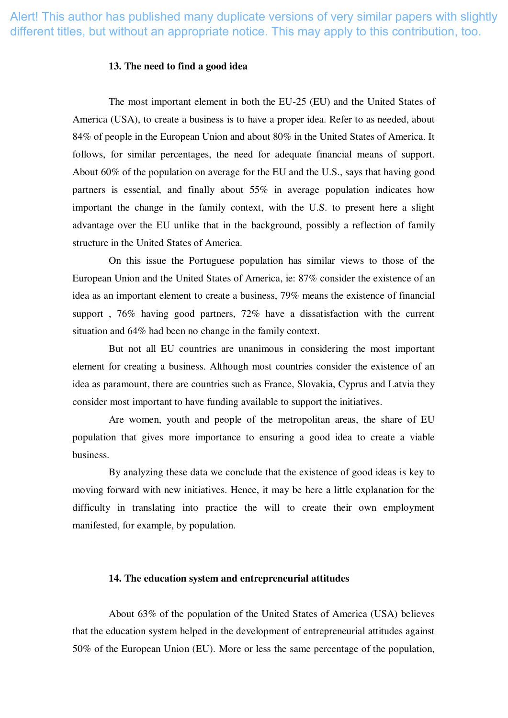#### **13. The need to find a good idea**

The most important element in both the EU-25 (EU) and the United States of America (USA), to create a business is to have a proper idea. Refer to as needed, about 84% of people in the European Union and about 80% in the United States of America. It follows, for similar percentages, the need for adequate financial means of support. About 60% of the population on average for the EU and the U.S., says that having good partners is essential, and finally about 55% in average population indicates how important the change in the family context, with the U.S. to present here a slight advantage over the EU unlike that in the background, possibly a reflection of family structure in the United States of America.

On this issue the Portuguese population has similar views to those of the European Union and the United States of America, ie: 87% consider the existence of an idea as an important element to create a business, 79% means the existence of financial support , 76% having good partners, 72% have a dissatisfaction with the current situation and 64% had been no change in the family context.

But not all EU countries are unanimous in considering the most important element for creating a business. Although most countries consider the existence of an idea as paramount, there are countries such as France, Slovakia, Cyprus and Latvia they consider most important to have funding available to support the initiatives.

Are women, youth and people of the metropolitan areas, the share of EU population that gives more importance to ensuring a good idea to create a viable business.

By analyzing these data we conclude that the existence of good ideas is key to moving forward with new initiatives. Hence, it may be here a little explanation for the difficulty in translating into practice the will to create their own employment manifested, for example, by population.

## **14. The education system and entrepreneurial attitudes**

About 63% of the population of the United States of America (USA) believes that the education system helped in the development of entrepreneurial attitudes against 50% of the European Union (EU). More or less the same percentage of the population,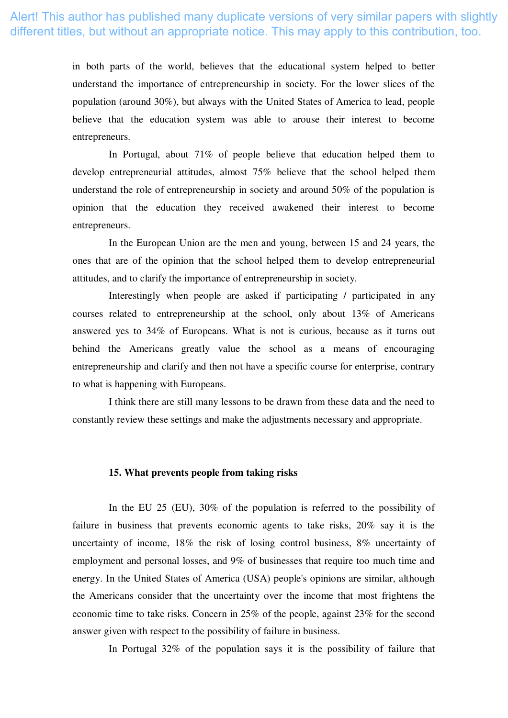in both parts of the world, believes that the educational system helped to better understand the importance of entrepreneurship in society. For the lower slices of the population (around 30%), but always with the United States of America to lead, people believe that the education system was able to arouse their interest to become entrepreneurs.

In Portugal, about 71% of people believe that education helped them to develop entrepreneurial attitudes, almost 75% believe that the school helped them understand the role of entrepreneurship in society and around 50% of the population is opinion that the education they received awakened their interest to become entrepreneurs.

In the European Union are the men and young, between 15 and 24 years, the ones that are of the opinion that the school helped them to develop entrepreneurial attitudes, and to clarify the importance of entrepreneurship in society.

Interestingly when people are asked if participating / participated in any courses related to entrepreneurship at the school, only about 13% of Americans answered yes to 34% of Europeans. What is not is curious, because as it turns out behind the Americans greatly value the school as a means of encouraging entrepreneurship and clarify and then not have a specific course for enterprise, contrary to what is happening with Europeans.

I think there are still many lessons to be drawn from these data and the need to constantly review these settings and make the adjustments necessary and appropriate.

## **15. What prevents people from taking risks**

In the EU 25 (EU), 30% of the population is referred to the possibility of failure in business that prevents economic agents to take risks, 20% say it is the uncertainty of income, 18% the risk of losing control business, 8% uncertainty of employment and personal losses, and 9% of businesses that require too much time and energy. In the United States of America (USA) people's opinions are similar, although the Americans consider that the uncertainty over the income that most frightens the economic time to take risks. Concern in 25% of the people, against 23% for the second answer given with respect to the possibility of failure in business.

In Portugal 32% of the population says it is the possibility of failure that